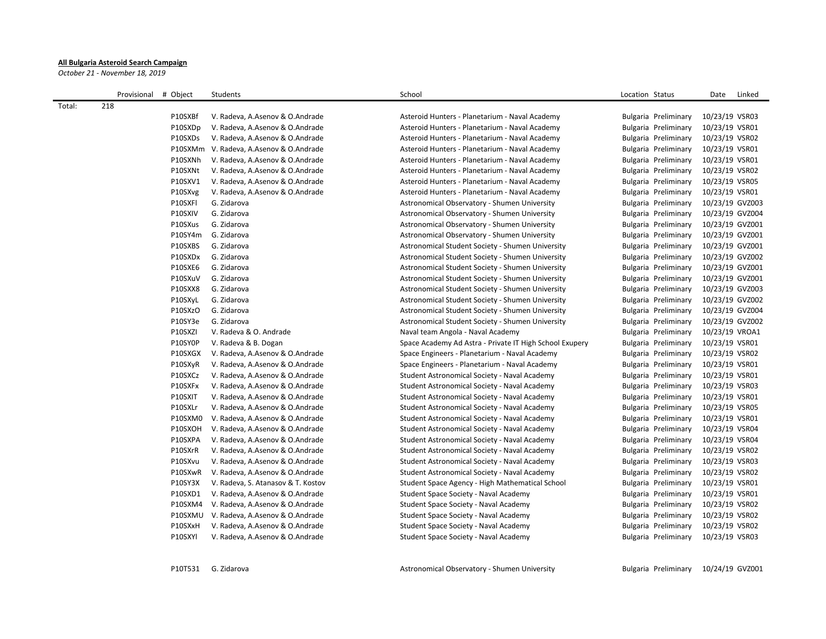## **All Bulgaria Asteroid Search Campaign**

*October 21 - November 18, 2019*

|        | Provisional # Object |         | Students                           | School                                                  | Location Status      | Linked<br>Date  |
|--------|----------------------|---------|------------------------------------|---------------------------------------------------------|----------------------|-----------------|
| Total: | 218                  |         |                                    |                                                         |                      |                 |
|        |                      | P10SXBf | V. Radeva, A.Asenov & O.Andrade    | Asteroid Hunters - Planetarium - Naval Academy          | Bulgaria Preliminary | 10/23/19 VSR03  |
|        |                      | P10SXDp | V. Radeva, A.Asenov & O.Andrade    | Asteroid Hunters - Planetarium - Naval Academy          | Bulgaria Preliminary | 10/23/19 VSR01  |
|        |                      | P10SXDs | V. Radeva, A.Asenov & O.Andrade    | Asteroid Hunters - Planetarium - Naval Academy          | Bulgaria Preliminary | 10/23/19 VSR02  |
|        |                      | P10SXMm | V. Radeva, A.Asenov & O.Andrade    | Asteroid Hunters - Planetarium - Naval Academy          | Bulgaria Preliminary | 10/23/19 VSR01  |
|        |                      | P10SXNh | V. Radeva, A.Asenov & O.Andrade    | Asteroid Hunters - Planetarium - Naval Academy          | Bulgaria Preliminary | 10/23/19 VSR01  |
|        |                      | P10SXNt | V. Radeva, A.Asenov & O.Andrade    | Asteroid Hunters - Planetarium - Naval Academy          | Bulgaria Preliminary | 10/23/19 VSR02  |
|        |                      | P10SXV1 | V. Radeva, A.Asenov & O.Andrade    | Asteroid Hunters - Planetarium - Naval Academy          | Bulgaria Preliminary | 10/23/19 VSR05  |
|        |                      | P10SXvg | V. Radeva, A.Asenov & O.Andrade    | Asteroid Hunters - Planetarium - Naval Academy          | Bulgaria Preliminary | 10/23/19 VSR01  |
|        |                      | P10SXFI | G. Zidarova                        | Astronomical Observatory - Shumen University            | Bulgaria Preliminary | 10/23/19 GVZ003 |
|        |                      | P10SXIV | G. Zidarova                        | Astronomical Observatory - Shumen University            | Bulgaria Preliminary | 10/23/19 GVZ004 |
|        |                      | P10SXus | G. Zidarova                        | Astronomical Observatory - Shumen University            | Bulgaria Preliminary | 10/23/19 GVZ001 |
|        |                      | P10SY4m | G. Zidarova                        | Astronomical Observatory - Shumen University            | Bulgaria Preliminary | 10/23/19 GVZ001 |
|        |                      | P10SXBS | G. Zidarova                        | Astronomical Student Society - Shumen University        | Bulgaria Preliminary | 10/23/19 GVZ001 |
|        |                      | P10SXDx | G. Zidarova                        | Astronomical Student Society - Shumen University        | Bulgaria Preliminary | 10/23/19 GVZ002 |
|        |                      | P10SXE6 | G. Zidarova                        | Astronomical Student Society - Shumen University        | Bulgaria Preliminary | 10/23/19 GVZ001 |
|        |                      | P10SXuV | G. Zidarova                        | Astronomical Student Society - Shumen University        | Bulgaria Preliminary | 10/23/19 GVZ001 |
|        |                      | P10SXX8 | G. Zidarova                        | Astronomical Student Society - Shumen University        | Bulgaria Preliminary | 10/23/19 GVZ003 |
|        |                      | P10SXyL | G. Zidarova                        | Astronomical Student Society - Shumen University        | Bulgaria Preliminary | 10/23/19 GVZ002 |
|        |                      | P10SXzO | G. Zidarova                        | Astronomical Student Society - Shumen University        | Bulgaria Preliminary | 10/23/19 GVZ004 |
|        |                      | P10SY3e | G. Zidarova                        | Astronomical Student Society - Shumen University        | Bulgaria Preliminary | 10/23/19 GVZ002 |
|        |                      | P10SXZI | V. Radeva & O. Andrade             | Naval team Angola - Naval Academy                       | Bulgaria Preliminary | 10/23/19 VROA1  |
|        |                      | P10SY0P | V. Radeva & B. Dogan               | Space Academy Ad Astra - Private IT High School Exupery | Bulgaria Preliminary | 10/23/19 VSR01  |
|        |                      | P10SXGX | V. Radeva, A.Asenov & O.Andrade    | Space Engineers - Planetarium - Naval Academy           | Bulgaria Preliminary | 10/23/19 VSR02  |
|        |                      | P10SXyR | V. Radeva, A.Asenov & O.Andrade    | Space Engineers - Planetarium - Naval Academy           | Bulgaria Preliminary | 10/23/19 VSR01  |
|        |                      | P10SXCz | V. Radeva, A.Asenov & O.Andrade    | Student Astronomical Society - Naval Academy            | Bulgaria Preliminary | 10/23/19 VSR01  |
|        |                      | P10SXFx | V. Radeva, A.Asenov & O.Andrade    | Student Astronomical Society - Naval Academy            | Bulgaria Preliminary | 10/23/19 VSR03  |
|        |                      | P10SXIT | V. Radeva, A.Asenov & O.Andrade    | Student Astronomical Society - Naval Academy            | Bulgaria Preliminary | 10/23/19 VSR01  |
|        |                      | P10SXLr | V. Radeva, A.Asenov & O.Andrade    | Student Astronomical Society - Naval Academy            | Bulgaria Preliminary | 10/23/19 VSR05  |
|        |                      | P10SXM0 | V. Radeva, A.Asenov & O.Andrade    | Student Astronomical Society - Naval Academy            | Bulgaria Preliminary | 10/23/19 VSR01  |
|        |                      | P10SXOH | V. Radeva, A.Asenov & O.Andrade    | Student Astronomical Society - Naval Academy            | Bulgaria Preliminary | 10/23/19 VSR04  |
|        |                      | P10SXPA | V. Radeva, A.Asenov & O.Andrade    | Student Astronomical Society - Naval Academy            | Bulgaria Preliminary | 10/23/19 VSR04  |
|        |                      | P10SXrR | V. Radeva, A.Asenov & O.Andrade    | Student Astronomical Society - Naval Academy            | Bulgaria Preliminary | 10/23/19 VSR02  |
|        |                      | P10SXvu | V. Radeva, A.Asenov & O.Andrade    | Student Astronomical Society - Naval Academy            | Bulgaria Preliminary | 10/23/19 VSR03  |
|        |                      | P10SXwR | V. Radeva, A.Asenov & O.Andrade    | Student Astronomical Society - Naval Academy            | Bulgaria Preliminary | 10/23/19 VSR02  |
|        |                      | P10SY3X | V. Radeva, S. Atanasov & T. Kostov | Student Space Agency - High Mathematical School         | Bulgaria Preliminary | 10/23/19 VSR01  |
|        |                      | P10SXD1 | V. Radeva, A.Asenov & O.Andrade    | Student Space Society - Naval Academy                   | Bulgaria Preliminary | 10/23/19 VSR01  |
|        |                      | P10SXM4 | V. Radeva, A.Asenov & O.Andrade    | Student Space Society - Naval Academy                   | Bulgaria Preliminary | 10/23/19 VSR02  |
|        |                      | P10SXMU | V. Radeva, A.Asenov & O.Andrade    | Student Space Society - Naval Academy                   | Bulgaria Preliminary | 10/23/19 VSR02  |
|        |                      | P10SXxH | V. Radeva, A.Asenov & O.Andrade    | Student Space Society - Naval Academy                   | Bulgaria Preliminary | 10/23/19 VSR02  |
|        |                      | P10SXYI | V. Radeva, A.Asenov & O.Andrade    | Student Space Society - Naval Academy                   | Bulgaria Preliminary | 10/23/19 VSR03  |
|        |                      |         |                                    |                                                         |                      |                 |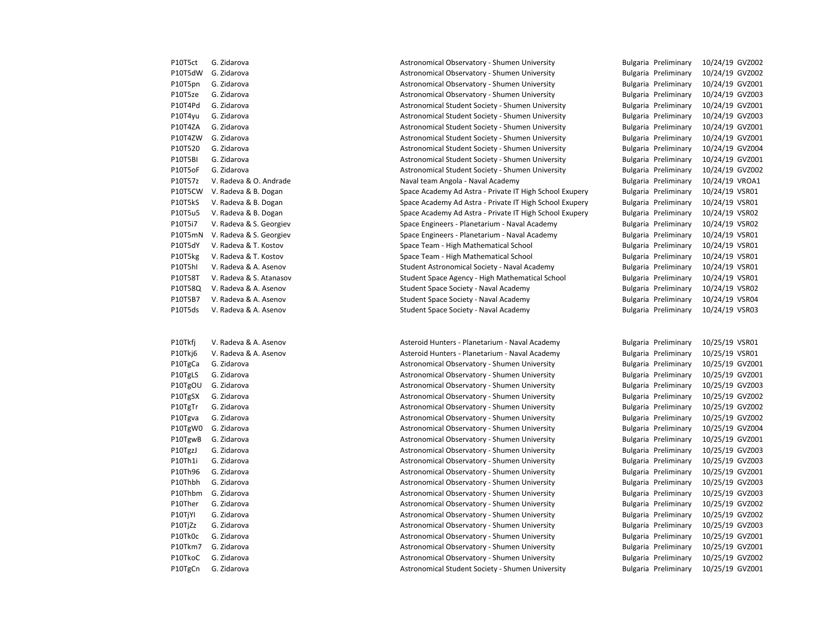| riutsu  | u. Ziudrova            |
|---------|------------------------|
| P10T5dW | G. Zidarova            |
| P10T5pn | G. Zidarova            |
| P10T5ze | G. Zidarova            |
| P10T4Pd | G. Zidarova            |
| P10T4yu | G. Zidarova            |
| P10T4ZA | G. Zidarova            |
| P10T4ZW | G. Zidarova            |
| P10T520 | G. Zidarova            |
| P10T5BI | G. Zidarova            |
| P10T5oF | G. Zidarova            |
| P10T57z | V. Radeva & O. Andrad  |
| P10T5CW | V. Radeva & B. Dogan   |
| P10T5kS | V. Radeva & B. Dogan   |
| P10T5u5 | V. Radeva & B. Dogan   |
| P10T5i7 | V. Radeva & S. Georgie |
| P10T5mN | V. Radeva & S. Georgie |
| P10T5dY | V. Radeva & T. Kostov  |
| P10T5kg | V. Radeva & T. Kostov  |
| P10T5hI | V. Radeva & A. Asenov  |
| P10T58T | V. Radeva & S. Atanasc |
| P10T58Q | V. Radeva & A. Asenov  |
| P10T5B7 | V. Radeva & A. Asenov  |
| P10T5ds | V. Radeva & A. Asenov  |

P10T5ct G. Zidarova **Astronomical Observatory - Shumen University** Bulgaria Preliminary 10/24/19 GVZ002 Astronomical Observatory - Shumen University Bulgaria Preliminary 10/24/19 GVZ002 Astronomical Observatory - Shumen University Bulgaria Preliminary 10/24/19 GVZ001 Astronomical Observatory - Shumen University Bulgaria Preliminary 10/24/19 GVZ003 Astronomical Student Society - Shumen University Bulgaria Preliminary 10/24/19 GVZ001 Astronomical Student Society - Shumen University Bulgaria Preliminary 10/24/19 GVZ003 Astronomical Student Society - Shumen University Bulgaria Preliminary 10/24/19 GVZ001 Astronomical Student Society - Shumen University Bulgaria Preliminary 10/24/19 GVZ001 Astronomical Student Society - Shumen University Bulgaria Preliminary 10/24/19 GVZ004 Astronomical Student Society - Shumen University Bulgaria Preliminary 10/24/19 GVZ001 Astronomical Student Society - Shumen University Bulgaria Preliminary 10/24/19 GVZ002 le entity berama angola - Naval Academy berama ang berama pelugaria Preliminary 10/24/19 VROA1 P10T5CW V. Radeva & B. Dogan Space Academy Ad Astra - Private IT High School Exupery Bulgaria Preliminary 10/24/19 VSR01 Space Academy Ad Astra - Private IT High School Exupery Bulgaria Preliminary 10/24/19 VSR01 Space Academy Ad Astra - Private IT High School Exupery Bulgaria Preliminary 10/24/19 VSR02 P10T5i7 V. Radeva B. S. Georgiev Space Engineers - Planetarium - Naval Academy Bulgaria Preliminary 10/24/19 VSR02 V. P10T5mN V. Radeva Bulgaria Bulgaria Preliminary Space Engineers - Planetarium - Naval Academy Computers - Bulgaria Preliminary 10/24/19 VSR01 Space Team - High Mathematical School **Bulgaria Preliminary** 10/24/19 VSR01 Space Team - High Mathematical School **Bulgaria Preliminary** 10/24/19 VSR01 P10T5hI V. Radeva & A. Asenov Student Astronomical Society - Naval Academy Bulgaria Preliminary 10/24/19 VSR01 P10T58T V. Radeva Bulgaria Agency - High Mathematical School Challengeria Preliminary 10/24/19 VSR01 P10T58Q V. Radeva & A. Asenov Student Space Society - Naval Academy Bulgaria Preliminary 10/24/19 VSR02 P10T5B7 V. Radeva & A. Asenov Student Space Society - Naval Academy Bulgaria Preliminary 10/24/19 VSR04 P10T5ds V. Radeva & A. Asenov Student Space Society - Naval Academy Bulgaria Preliminary 10/24/19 VSR03

P10Tkfj V. Radeva & A. Asenov **A. Asteroid Hunters - Planetarium - Naval Academy** Bulgaria Preliminary 10/25/19 VSR01 P10Tkj6 V. Radeva & A. Asenov **A. Asteroid Hunters - Planetarium - Naval Academy** Bulgaria Preliminary 10/25/19 VSR01 P10TgCa G. Zidarova **Astronomical Observatory - Shumen University** Bulgaria Preliminary 10/25/19 GVZ001 P10TgLS G. Zidarova **Astronomical Observatory - Shumen University** Bulgaria Preliminary 10/25/19 GVZ001 P10TgOU G. Zidarova **Astronomical Observatory - Shumen University** Bulgaria Preliminary 10/25/19 GVZ003 P10TgSX G. Zidarova **Astronomical Observatory - Shumen University** Bulgaria Preliminary 10/25/19 GVZ002 P10TgTr G. Zidarova **Astronomical Observatory - Shumen University** Bulgaria Preliminary 10/25/19 GVZ002 P10Tgva G. Zidarova **Astronomical Observatory - Shumen University** Bulgaria Preliminary 10/25/19 GVZ002 P10TgW0 G. Zidarova **Astronomical Observatory - Shumen University** Bulgaria Preliminary 10/25/19 GVZ004 P10TgwB G. Zidarova **Astronomical Observatory - Shumen University** Bulgaria Preliminary 10/25/19 GVZ001 P10TgzJ G. Zidarova **Astronomical Observatory - Shumen University** Bulgaria Preliminary 10/25/19 GVZ003 P10Th1i G. Zidarova **Astronomical Observatory - Shumen University** Bulgaria Preliminary 10/25/19 GVZ003 P10Th96 G. Zidarova **Astronomical Observatory - Shumen University** Bulgaria Preliminary 10/25/19 GVZ001 P10Thbh G. Zidarova **Astronomical Observatory - Shumen University** Bulgaria Preliminary 10/25/19 GVZ003 P10Thbm G. Zidarova **Astronomical Observatory - Shumen University** Bulgaria Preliminary 10/25/19 GVZ003 P10Ther G. Zidarova **Astronomical Observatory - Shumen University** Bulgaria Preliminary 10/25/19 GVZ002 P10TjYI G. Zidarova **Astronomical Observatory - Shumen University** Bulgaria Preliminary 10/25/19 GVZ002 P10TiZz G. Zidarova **Astronomical Observatory - Shumen University** Bulgaria Preliminary 10/25/19 GVZ003 P10Tk0c G. Zidarova **Astronomical Observatory - Shumen University** Bulgaria Preliminary 10/25/19 GVZ001 P10Tkm7 G. Zidarova **Astronomical Observatory - Shumen University** Bulgaria Preliminary 10/25/19 GVZ001 P10TkoC G. Zidarova **Astronomical Observatory - Shumen University** Bulgaria Preliminary 10/25/19 GVZ002 P10TgCn G. Zidarova **Astronomical Student Society - Shumen University** Bulgaria Preliminary 10/25/19 GVZ001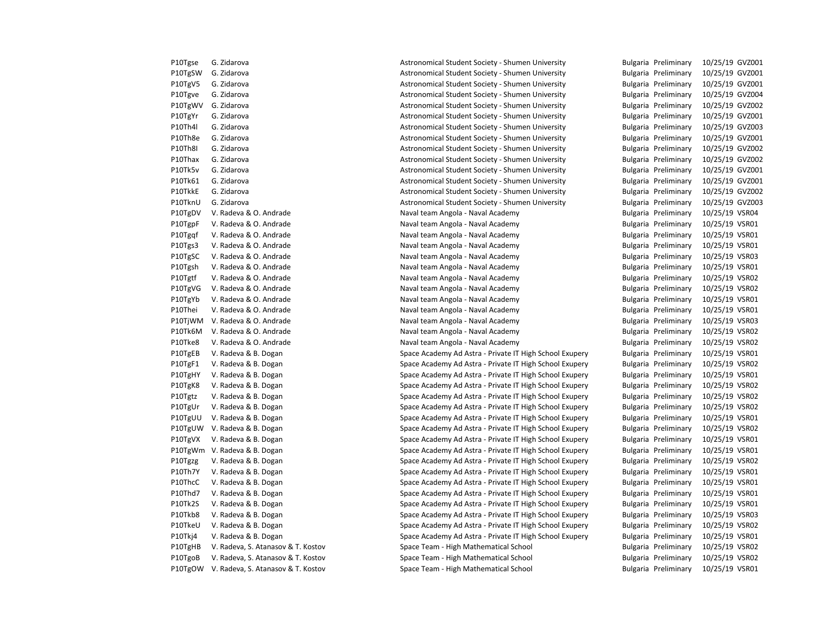| PIUIRSE | G. Zidarova              |
|---------|--------------------------|
| P10TgSW | G. Zidarova              |
| P10TgV5 | G. Zidarova              |
| P10Tgve | G. Zidarova              |
| P10TgWV | G. Zidarova              |
| P10TgYr | G. Zidarova              |
| P10Th4l | G. Zidarova              |
| P10Th8e | G. Zidarova              |
| P10Th8I | G. Zidarova              |
| P10Thax | G. Zidarova              |
| P10Tk5v | G. Zidarova              |
| P10Tk61 | G. Zidarova              |
| P10TkkE | G. Zidarova              |
| P10TknU | G. Zidarova              |
| P10TgDV | V. Radeva & O. Andrade   |
| P10TgpF | V. Radeva & O. Andrade   |
| P10Tgqf | V. Radeva & O. Andrade   |
| P10Tgs3 | V. Radeva & O. Andrade   |
| P10TgSC | V. Radeva & O. Andrade   |
| P10Tgsh | V. Radeva & O. Andrade   |
| P10Tgtf | V. Radeva & O. Andrade   |
| P10TgVG | V. Radeva & O. Andrade   |
| P10TgYb | V. Radeva & O. Andrade   |
| P10Thei | V. Radeva & O. Andrade   |
| P10TjWM | V. Radeva & O. Andrade   |
| P10Tk6M | V. Radeva & O. Andrade   |
| P10Tke8 | V. Radeva & O. Andrade   |
| P10TgEB | V. Radeva & B. Dogan     |
| P10TgF1 | V. Radeva & B. Dogan     |
| P10TgHY | V. Radeva & B. Dogan     |
| P10TgK8 | V. Radeva & B. Dogan     |
| P10Tgtz | V. Radeva & B. Dogan     |
| P10TgUr | V. Radeva & B. Dogan     |
| P10TgUU | V. Radeva & B. Dogan     |
| P10TgUW | V. Radeva & B. Dogan     |
| P10TgVX | V. Radeva & B. Dogan     |
| P10TgWm | V. Radeva & B. Dogan     |
| P10Tgzg | V. Radeva & B. Dogan     |
| P10Th7Y | V. Radeva & B. Dogan     |
| P10ThcC | V. Radeva & B. Dogan     |
| P10Thd7 | V. Radeva & B. Dogan     |
| P10Tk2S | V. Radeva & B. Dogan     |
| P10Tkb8 | V. Radeva & B. Dogan     |
| P10TkeU | V. Radeva & B. Dogan     |
| P10Tkj4 | V. Radeva & B. Dogan     |
| P10TgHB | V. Radeva, S. Atanasov & |
| P10TgoB | V. Radeva, S. Atanasov & |
| P10TgOW | V. Radeva, S. Atanasov & |

P10Tgse G. Zidarova **Astronomical Student Society - Shumen University** Bulgaria Preliminary 10/25/19 GVZ001 Astronomical Student Society - Shumen University Bulgaria Preliminary 10/25/19 GVZ001 Astronomical Student Society - Shumen University Bulgaria Preliminary 10/25/19 GVZ001 Astronomical Student Society - Shumen University Bulgaria Preliminary 10/25/19 GVZ004 Astronomical Student Society - Shumen University Bulgaria Preliminary 10/25/19 GVZ002 Astronomical Student Society - Shumen University Bulgaria Preliminary 10/25/19 GVZ001 Astronomical Student Society - Shumen University Bulgaria Preliminary 10/25/19 GVZ003 P10Th8e G. Zidarova Astronomical Student Society - Shumen University Bulgaria Preliminary 10/25/19 GVZ001 Astronomical Student Society - Shumen University **Bulgaria Preliminary** 10/25/19 GVZ002 Astronomical Student Society - Shumen University Bulgaria Preliminary 10/25/19 GVZ002 Astronomical Student Society - Shumen University Bulgaria Preliminary 10/25/19 GVZ001 P10Tk61 G. Zidarova Astronomical Student Society - Shumen University Bulgaria Preliminary 10/25/19 GVZ001 Astronomical Student Society - Shumen University **Bulgaria Preliminary** 10/25/19 GVZ002 Astronomical Student Society - Shumen University Bulgaria Preliminary 10/25/19 GVZ003 Phaval team Angola - Naval Academy **Bulgaria Preliminary 10/25/19 VSR04** P10T6 Naval team Angola - Naval Academy **Bulgaria Preliminary 10/25/19** VSR01 P10Tgqf V. Radia Angola - Naval Academy **Bulgaria Preliminary 10/25/19 VSR01** Phaval team Angola - Naval Academy **Bulgaria Preliminary** 10/25/19 VSR01 Phaval team Angola - Naval Academy **Bulgaria Preliminary 10/25/19 VSR03** P10T6 Naval team Angola - Naval Academy **Bulgaria Preliminary 10/25/19 VSR01** Phaval team Angola - Naval Academy **Bulgaria Preliminary 10/25/19 VSR02** Phaval team Angola - Naval Academy **Bulgaria Preliminary 10/25/19 VSR02** Phaval team Angola - Naval Academy **Bulgaria Preliminary 10/25/19 VSR01** P10Thei V. Radeva Angola - Naval Academy **Bulgaria Preliminary 10/25/19 VSR01** Phaval team Angola - Naval Academy **B. Andrade Naval Academy** Bulgaria Preliminary 10/25/19 VSR03 Phaval team Angola - Naval Academy **Bulgaria Preliminary 10/25/19 VSR02** Naval team Angola - Naval Academy **Bulgaria Preliminary 10/25/19 VSR02** Space Academy Ad Astra - Private IT High School Exupery Bulgaria Preliminary 10/25/19 VSR01 P10TgF1 V. Radeva & B. Dogan Space Academy Ad Astra - Private IT High School Exupery Bulgaria Preliminary 10/25/19 VSR02 Space Academy Ad Astra - Private IT High School Exupery Bulgaria Preliminary 10/25/19 VSR01 Space Academy Ad Astra - Private IT High School Exupery Bulgaria Preliminary 10/25/19 VSR02 Space Academy Ad Astra - Private IT High School Exupery Bulgaria Preliminary 10/25/19 VSR02 Space Academy Ad Astra - Private IT High School Exupery Bulgaria Preliminary 10/25/19 VSR02 Space Academy Ad Astra - Private IT High School Exupery Bulgaria Preliminary 10/25/19 VSR01 Space Academy Ad Astra - Private IT High School Exupery Bulgaria Preliminary 10/25/19 VSR02 Space Academy Ad Astra - Private IT High School Exupery Bulgaria Preliminary 10/25/19 VSR01 Space Academy Ad Astra - Private IT High School Exupery Bulgaria Preliminary 10/25/19 VSR01 Space Academy Ad Astra - Private IT High School Exupery Bulgaria Preliminary 10/25/19 VSR02 Space Academy Ad Astra - Private IT High School Exupery Bulgaria Preliminary 10/25/19 VSR01 Space Academy Ad Astra - Private IT High School Exupery Bulgaria Preliminary 10/25/19 VSR01 Space Academy Ad Astra - Private IT High School Exupery Bulgaria Preliminary 10/25/19 VSR01 Space Academy Ad Astra - Private IT High School Exupery Bulgaria Preliminary 10/25/19 VSR01 Space Academy Ad Astra - Private IT High School Exupery Bulgaria Preliminary 10/25/19 VSR03 P10TkeU V. Radeva & B. Dogan Space Academy Ad Astra - Private IT High School Exupery Bulgaria Preliminary 10/25/19 VSR02 Space Academy Ad Astra - Private IT High School Exupery Bulgaria Preliminary 10/25/19 VSR01 P. Kostov Bulgaria Preliminary 10/25/19 VSR02 P. Kostov Bulgaria Preliminary 10/25/19 VSR02 P. Kostov C. Atanasov Space Team - High Mathematical School Bulgaria Preliminary 10/25/19 VSR01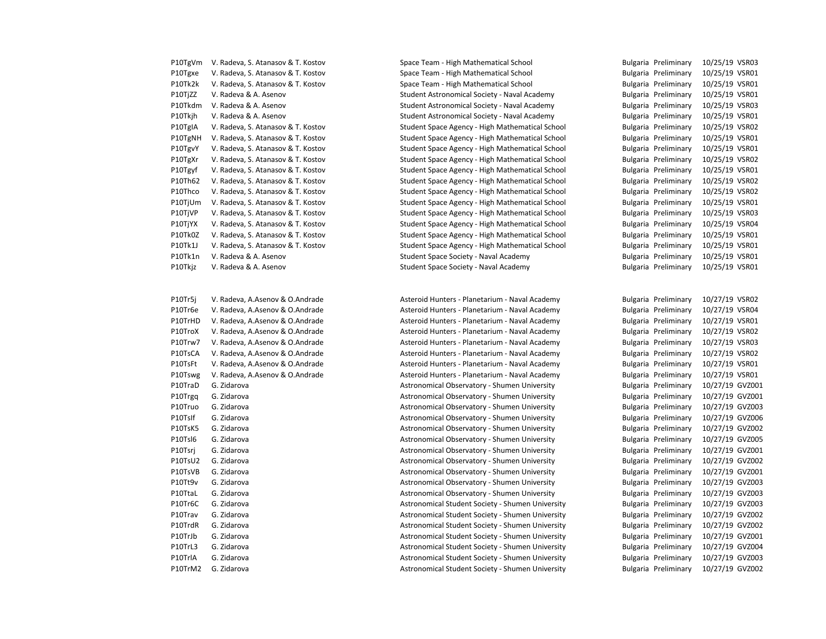| P10TgVm | V. Radeva, S. Atanasov & T. Kostov |
|---------|------------------------------------|
| P10Tgxe | V. Radeva, S. Atanasov & T. Kostov |
| P10Tk2k | V. Radeva, S. Atanasov & T. Kostov |
| P10TjZZ | V. Radeva & A. Asenov              |
| P10Tkdm | V. Radeva & A. Asenov              |
| P10Tkjh | V. Radeva & A. Asenov              |
| P10TgIA | V. Radeva, S. Atanasov & T. Kostov |
| P10TgNH | V. Radeva, S. Atanasov & T. Kostov |
| P10TgvY | V. Radeva, S. Atanasov & T. Kostov |
| P10TgXr | V. Radeva, S. Atanasov & T. Kostov |
| P10Tgyf | V. Radeva, S. Atanasov & T. Kostov |
| P10Th62 | V. Radeva, S. Atanasov & T. Kostov |
| P10Thco | V. Radeva, S. Atanasov & T. Kostov |
| P10TjUm | V. Radeva, S. Atanasov & T. Kostov |
| P10TjVP | V. Radeva, S. Atanasov & T. Kostov |
| P10TjYX | V. Radeva, S. Atanasov & T. Kostov |
| P10Tk0Z | V. Radeva, S. Atanasov & T. Kostov |
| P10Tk1J | V. Radeva, S. Atanasov & T. Kostov |
| P10Tk1n | V. Radeva & A. Asenov              |
| P10Tkiz | V. Radeva & A. Asenov              |

P10Tr5j V. Radeva, A.Asenov & O.Andrade **Asteroid Hunters - Planetarium - Naval Academy** Bulgaria Preliminary 10/27/19 VSR02

Space Team - High Mathematical School **Bulgaria Preliminary 10/25/19 VSR03** Space Team - High Mathematical School **Bulgaria Preliminary 10/25/19 VSR01** Space Team - High Mathematical School **Bulgaria Preliminary 10/25/19 VSR01** P10TjZZ V. Radeva & A. Asenov Student Astronomical Society - Naval Academy Bulgaria Preliminary 10/25/19 VSR01 P10Tkdm V. Radeva & A. Asenov Student Astronomical Society - Naval Academy Bulgaria Preliminary 10/25/19 VSR03 P10Tkjh V. Radeva & A. Asenov Student Astronomical Society - Naval Academy Bulgaria Preliminary 10/25/19 VSR01 P10TgIA V. Radeva, S. Atanasov & T. Kostov Student Space Agency - High Mathematical School Bulgaria Preliminary 10/25/19 VSR02 P10TgNH V. Radeva, S. Atanasov & T. Kostov Student Space Agency - High Mathematical School Bulgaria Preliminary 10/25/19 VSR01 P10TgvY V. Radeva, S. Atanasov & T. Kostov Student Space Agency - High Mathematical School Bulgaria Preliminary 10/25/19 VSR01 P10TgXr V. Radeva, S. Atanasov & T. Kostov Student Space Agency - High Mathematical School Bulgaria Preliminary 10/25/19 VSR02 P10Tgyf V. Radeva, S. Atanasov & T. Kostov Student Space Agency - High Mathematical School Bulgaria Preliminary 10/25/19 VSR01 P10Th62 V. Radeva, S. Atanasov & T. Kostov Student Space Agency - High Mathematical School Bulgaria Preliminary 10/25/19 VSR02 P10Thco V. Radeva, S. Atanasov & T. Kostov Student Space Agency - High Mathematical School Bulgaria Preliminary 10/25/19 VSR02 P10TjUm V. Radeva, S. Atanasov & T. Kostov Student Space Agency - High Mathematical School Bulgaria Preliminary 10/25/19 VSR01 P10TjVP V. Radeva, S. Atanasov & T. Kostov Student Space Agency - High Mathematical School Bulgaria Preliminary 10/25/19 VSR03 Student Space Agency - High Mathematical School Bulgaria Preliminary 10/25/19 VSR04 P10Tk0Z V. Radeva, S. Atanasov & T. Kostov Student Space Agency - High Mathematical School Bulgaria Preliminary 10/25/19 VSR01 P10Tk1J V. Radeva, S. Atanasov & T. Kostov Student Space Agency - High Mathematical School Bulgaria Preliminary 10/25/19 VSR01 P10Th210Tk10Tk10Tk1n V. Radeva Bulgaria Preliminary 10/25/19 VSR01 10Tkjz V. Radeva & A. Asenov Summer Student Space Society - Naval Academy Summer Bulgaria Preliminary 10/25/19 VSR01

P10Tr6e V. Radeva, A.Asenov & O.Andrade Asteroid Hunters - Planetarium - Naval Academy Bulgaria Preliminary 10/27/19 VSR04 P10TrHD V. Radeva, A.Asenov & O.Andrade Asteroid Hunters - Planetarium - Naval Academy Bulgaria Preliminary 10/27/19 VSR01 P10TroX V. Radeva, A.Asenov & O.Andrade Asteroid Hunters - Planetarium - Naval Academy Bulgaria Preliminary 10/27/19 VSR02 P10Trw7 V. Radeva, A.Asenov & O.Andrade **Asteroid Hunters - Planetarium - Naval Academy** Bulgaria Preliminary 10/27/19 VSR03 P10TsCA V. Radeva, A.Asenov & O.Andrade **Asteroid Hunters - Planetarium - Naval Academy** Bulgaria Preliminary 10/27/19 VSR02 P10TsFt V. Radeva, A.Asenov & O.Andrade **Asteroid Hunters - Planetarium - Naval Academy** Bulgaria Preliminary 10/27/19 VSR01 P10Tswg V. Radeva, A.Asenov & O.Andrade **Asteroid Hunters - Planetarium - Naval Academy** Bulgaria Preliminary 10/27/19 VSR01 P10TraD G. Zidarova **Astronomical Observatory - Shumen University** Bulgaria Preliminary 10/27/19 GVZ001 P10Trgq G. Zidarova **Astronomical Observatory - Shumen University** Bulgaria Preliminary 10/27/19 GVZ001 P10Truo G. Zidarova **Astronomical Observatory - Shumen University** Bulgaria Preliminary 10/27/19 GVZ003 P10Tslf G. Zidarova **Astronomical Observatory - Shumen University** Bulgaria Preliminary 10/27/19 GVZ006 P10TsK5 G. Zidarova **Astronomical Observatory - Shumen University** Bulgaria Preliminary 10/27/19 GVZ002 P10Tsl6 G. Zidarova **Astronomical Observatory - Shumen University** Bulgaria Preliminary 10/27/19 GVZ005 P10Tsrj G. Zidarova **Astronomical Observatory - Shumen University** Bulgaria Preliminary 10/27/19 GVZ001 P10TsU2 G. Zidarova **Astronomical Observatory - Shumen University** Bulgaria Preliminary 10/27/19 GVZ002 P10TsVB G. Zidarova **Astronomical Observatory - Shumen University** Bulgaria Preliminary 10/27/19 GVZ001 P10Tt9v G. Zidarova **Astronomical Observatory - Shumen University** Bulgaria Preliminary 10/27/19 GVZ003 P10TtaL G. Zidarova **Astronomical Observatory - Shumen University** Bulgaria Preliminary 10/27/19 GVZ003 P10Tr6C G. Zidarova **Astronomical Student Society - Shumen University** Bulgaria Preliminary 10/27/19 GVZ003 P10Trav G. Zidarova **Astronomical Student Society - Shumen University** Bulgaria Preliminary 10/27/19 GVZ002 P10TrdR G. Zidarova **Astronomical Student Society - Shumen University** Bulgaria Preliminary 10/27/19 GVZ002 P10TrJb G. Zidarova **Astronomical Student Society - Shumen University** Bulgaria Preliminary 10/27/19 GVZ001 P10TrL3 G. Zidarova **Astronomical Student Society - Shumen University** Bulgaria Preliminary 10/27/19 GVZ004 P10TrlA G. Zidarova **Astronomical Student Society - Shumen University** Bulgaria Preliminary 10/27/19 GVZ003 P10TrM2 G. Zidarova **Astronomical Student Society - Shumen University** Bulgaria Preliminary 10/27/19 GVZ002